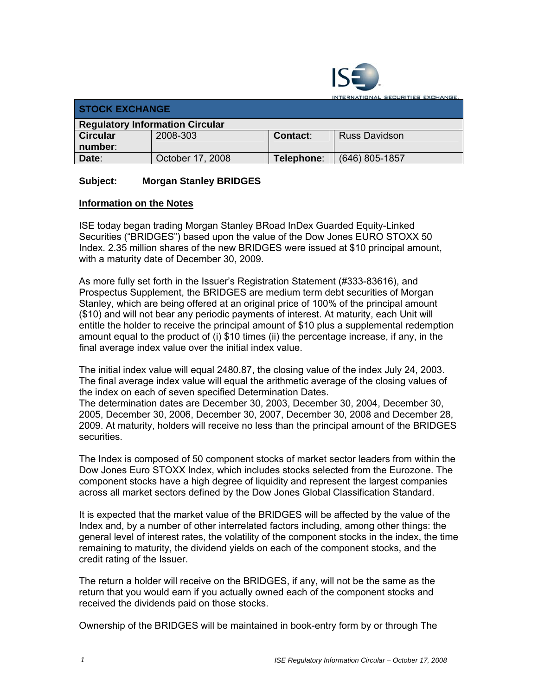

ATIONAL SECURITIES EXCHANGE.

| <b>STOCK EXCHANGE</b>                  |                  |                 |                      |  |  |
|----------------------------------------|------------------|-----------------|----------------------|--|--|
| <b>Regulatory Information Circular</b> |                  |                 |                      |  |  |
| <b>Circular</b>                        | 2008-303         | <b>Contact:</b> | <b>Russ Davidson</b> |  |  |
| number:                                |                  |                 |                      |  |  |
| Date:                                  | October 17, 2008 | Telephone:      | (646) 805-1857       |  |  |

## **Subject: Morgan Stanley BRIDGES**

## **Information on the Notes**

ISE today began trading Morgan Stanley BRoad InDex Guarded Equity-Linked Securities ("BRIDGES") based upon the value of the Dow Jones EURO STOXX 50 Index. 2.35 million shares of the new BRIDGES were issued at \$10 principal amount, with a maturity date of December 30, 2009.

As more fully set forth in the Issuer's Registration Statement (#333-83616), and Prospectus Supplement, the BRIDGES are medium term debt securities of Morgan Stanley, which are being offered at an original price of 100% of the principal amount (\$10) and will not bear any periodic payments of interest. At maturity, each Unit will entitle the holder to receive the principal amount of \$10 plus a supplemental redemption amount equal to the product of (i) \$10 times (ii) the percentage increase, if any, in the final average index value over the initial index value.

The initial index value will equal 2480.87, the closing value of the index July 24, 2003. The final average index value will equal the arithmetic average of the closing values of the index on each of seven specified Determination Dates.

The determination dates are December 30, 2003, December 30, 2004, December 30, 2005, December 30, 2006, December 30, 2007, December 30, 2008 and December 28, 2009. At maturity, holders will receive no less than the principal amount of the BRIDGES securities.

The Index is composed of 50 component stocks of market sector leaders from within the Dow Jones Euro STOXX Index, which includes stocks selected from the Eurozone. The component stocks have a high degree of liquidity and represent the largest companies across all market sectors defined by the Dow Jones Global Classification Standard.

It is expected that the market value of the BRIDGES will be affected by the value of the Index and, by a number of other interrelated factors including, among other things: the general level of interest rates, the volatility of the component stocks in the index, the time remaining to maturity, the dividend yields on each of the component stocks, and the credit rating of the Issuer.

The return a holder will receive on the BRIDGES, if any, will not be the same as the return that you would earn if you actually owned each of the component stocks and received the dividends paid on those stocks.

Ownership of the BRIDGES will be maintained in book-entry form by or through The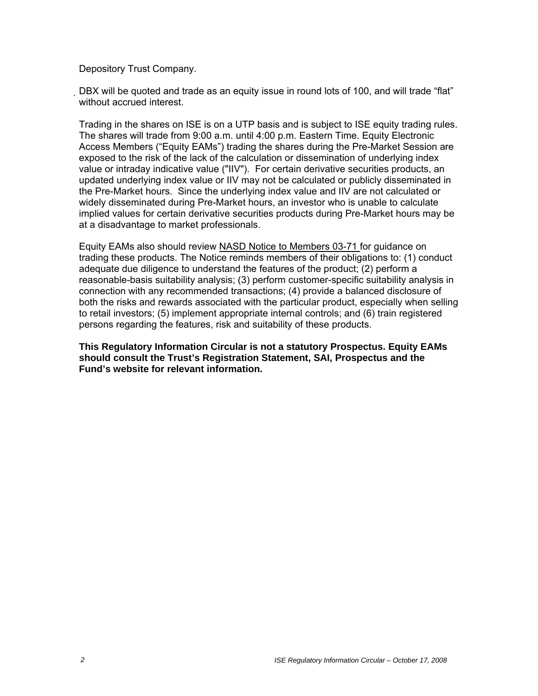Depository Trust Company.

DBX will be quoted and trade as an equity issue in round lots of 100, and will trade "flat" without accrued interest.

Trading in the shares on ISE is on a UTP basis and is subject to ISE equity trading rules. The shares will trade from 9:00 a.m. until 4:00 p.m. Eastern Time. Equity Electronic Access Members ("Equity EAMs") trading the shares during the Pre-Market Session are exposed to the risk of the lack of the calculation or dissemination of underlying index value or intraday indicative value ("IIV"). For certain derivative securities products, an updated underlying index value or IIV may not be calculated or publicly disseminated in the Pre-Market hours. Since the underlying index value and IIV are not calculated or widely disseminated during Pre-Market hours, an investor who is unable to calculate implied values for certain derivative securities products during Pre-Market hours may be at a disadvantage to market professionals.

Equity EAMs also should review NASD Notice to Members 03-71 for guidance on trading these products. The Notice reminds members of their obligations to: (1) conduct adequate due diligence to understand the features of the product; (2) perform a reasonable-basis suitability analysis; (3) perform customer-specific suitability analysis in connection with any recommended transactions; (4) provide a balanced disclosure of both the risks and rewards associated with the particular product, especially when selling to retail investors; (5) implement appropriate internal controls; and (6) train registered persons regarding the features, risk and suitability of these products.

**This Regulatory Information Circular is not a statutory Prospectus. Equity EAMs should consult the Trust's Registration Statement, SAI, Prospectus and the Fund's website for relevant information.**